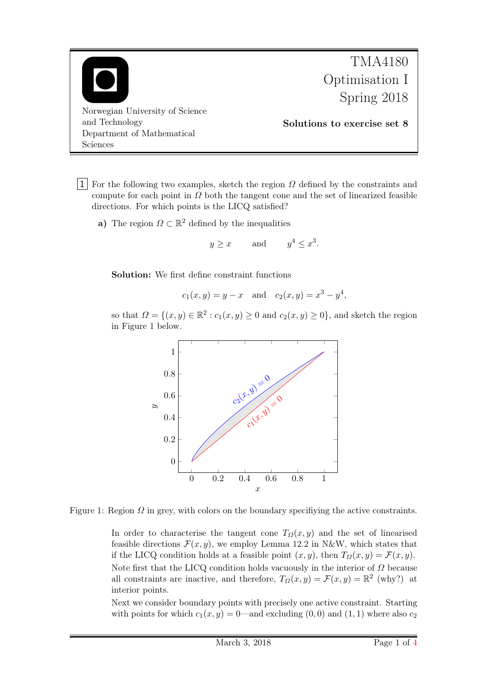

1 For the following two examples, sketch the region  $\Omega$  defined by the constraints and compute for each point in  $\Omega$  both the tangent cone and the set of linearized feasible directions. For which points is the LICQ satisfied?

a) The region  $\Omega \subset \mathbb{R}^2$  defined by the inequalities

$$
y \ge x
$$
 and  $y^4 \le x^3$ .

Solution: We first define constraint functions

$$
c_1(x, y) = y - x
$$
 and  $c_2(x, y) = x^3 - y^4$ ,

so that  $\Omega = \{(x, y) \in \mathbb{R}^2 : c_1(x, y) \ge 0 \text{ and } c_2(x, y) \ge 0\}$ , and sketch the region in Figure 1 below.



Figure 1: Region  $\Omega$  in grey, with colors on the boundary specifiying the active constraints.

In order to characterise the tangent cone  $T_{\Omega}(x, y)$  and the set of linearised feasible directions  $\mathcal{F}(x, y)$ , we employ Lemma 12.2 in N&W, which states that if the LICQ condition holds at a feasible point  $(x, y)$ , then  $T_{\Omega}(x, y) = \mathcal{F}(x, y)$ . Note first that the LICQ condition holds vacuously in the interior of  $\Omega$  because all constraints are inactive, and therefore,  $T_{\Omega}(x, y) = \mathcal{F}(x, y) = \mathbb{R}^2$  (why?) at interior points.

Next we consider boundary points with precisely one active constraint. Starting with points for which  $c_1(x, y) = 0$ —and excluding  $(0, 0)$  and  $(1, 1)$  where also  $c_2$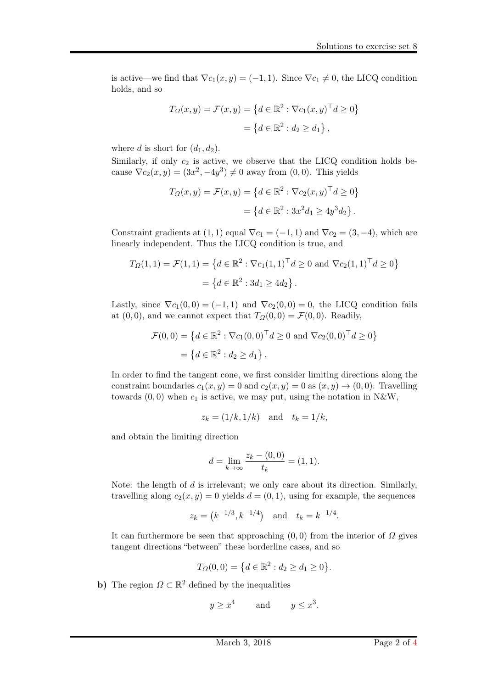is active—we find that  $\nabla c_1(x, y) = (-1, 1)$ . Since  $\nabla c_1 \neq 0$ , the LICQ condition holds, and so

$$
T_{\Omega}(x, y) = \mathcal{F}(x, y) = \{d \in \mathbb{R}^2 : \nabla c_1(x, y)^\top d \ge 0\}
$$

$$
= \{d \in \mathbb{R}^2 : d_2 \ge d_1\},
$$

where d is short for  $(d_1, d_2)$ .

Similarly, if only  $c_2$  is active, we observe that the LICQ condition holds because  $\nabla c_2(x, y) = (3x^2, -4y^3) \neq 0$  away from  $(0, 0)$ . This yields

$$
T_{\Omega}(x,y) = \mathcal{F}(x,y) = \left\{ d \in \mathbb{R}^2 : \nabla c_2(x,y)^\top d \ge 0 \right\}
$$

$$
= \left\{ d \in \mathbb{R}^2 : 3x^2 d_1 \ge 4y^3 d_2 \right\}.
$$

Constraint gradients at  $(1, 1)$  equal  $\nabla c_1 = (-1, 1)$  and  $\nabla c_2 = (3, -4)$ , which are linearly independent. Thus the LICQ condition is true, and

$$
T_{\Omega}(1,1) = \mathcal{F}(1,1) = \{d \in \mathbb{R}^2 : \nabla c_1(1,1)^\top d \ge 0 \text{ and } \nabla c_2(1,1)^\top d \ge 0\}
$$

$$
= \{d \in \mathbb{R}^2 : 3d_1 \ge 4d_2\}.
$$

Lastly, since  $\nabla c_1(0,0) = (-1,1)$  and  $\nabla c_2(0,0) = 0$ , the LICQ condition fails at  $(0, 0)$ , and we cannot expect that  $T_{\Omega}(0, 0) = \mathcal{F}(0, 0)$ . Readily,

$$
\mathcal{F}(0,0) = \{ d \in \mathbb{R}^2 : \nabla c_1(0,0)^\top d \ge 0 \text{ and } \nabla c_2(0,0)^\top d \ge 0 \}
$$
  
=  $\{ d \in \mathbb{R}^2 : d_2 \ge d_1 \}.$ 

In order to find the tangent cone, we first consider limiting directions along the constraint boundaries  $c_1(x, y) = 0$  and  $c_2(x, y) = 0$  as  $(x, y) \rightarrow (0, 0)$ . Travelling towards  $(0, 0)$  when  $c_1$  is active, we may put, using the notation in N&W,

$$
z_k = (1/k, 1/k) \quad \text{and} \quad t_k = 1/k,
$$

and obtain the limiting direction

$$
d = \lim_{k \to \infty} \frac{z_k - (0,0)}{t_k} = (1,1).
$$

Note: the length of  $d$  is irrelevant; we only care about its direction. Similarly, travelling along  $c_2(x, y) = 0$  yields  $d = (0, 1)$ , using for example, the sequences

$$
z_k = (k^{-1/3}, k^{-1/4})
$$
 and  $t_k = k^{-1/4}$ .

It can furthermore be seen that approaching  $(0, 0)$  from the interior of  $\Omega$  gives tangent directions "between" these borderline cases, and so

$$
T_{\Omega}(0,0) = \{ d \in \mathbb{R}^2 : d_2 \ge d_1 \ge 0 \}.
$$

**b**) The region  $\Omega \subset \mathbb{R}^2$  defined by the inequalities

$$
y \ge x^4
$$
 and  $y \le x^3$ .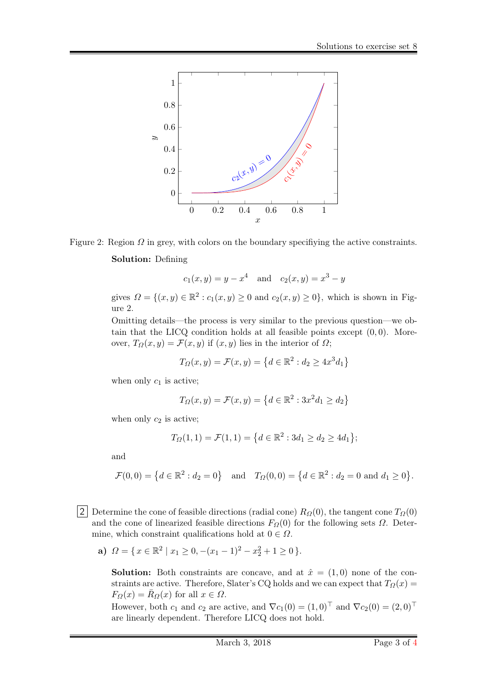



$$
c_1(x, y) = y - x^4
$$
 and  $c_2(x, y) = x^3 - y$ 

gives  $\Omega = \{(x, y) \in \mathbb{R}^2 : c_1(x, y) \ge 0 \text{ and } c_2(x, y) \ge 0\}$ , which is shown in Figure 2.

Omitting details—the process is very similar to the previous question—we obtain that the LICQ condition holds at all feasible points except  $(0, 0)$ . Moreover,  $T_{\Omega}(x, y) = \mathcal{F}(x, y)$  if  $(x, y)$  lies in the interior of  $\Omega$ ;

$$
T_{\Omega}(x,y) = \mathcal{F}(x,y) = \left\{ d \in \mathbb{R}^2 : d_2 \ge 4x^3 d_1 \right\}
$$

when only  $c_1$  is active;

$$
T_{\Omega}(x,y) = \mathcal{F}(x,y) = \left\{d \in \mathbb{R}^2 : 3x^2 d_1 \ge d_2\right\}
$$

when only  $c_2$  is active;

$$
T_{\Omega}(1,1) = \mathcal{F}(1,1) = \left\{ d \in \mathbb{R}^2 : 3d_1 \ge d_2 \ge 4d_1 \right\};
$$

and

 $\mathcal{F}(0,0) = \left\{ d \in \mathbb{R}^2 : d_2 = 0 \right\}$  and  $T_{\Omega}(0,0) = \left\{ d \in \mathbb{R}^2 : d_2 = 0 \text{ and } d_1 \ge 0 \right\}.$ 

2 Determine the cone of feasible directions (radial cone)  $R_{\Omega}(0)$ , the tangent cone  $T_{\Omega}(0)$ and the cone of linearized feasible directions  $F<sub>Q</sub>(0)$  for the following sets  $\Omega$ . Determine, which constraint qualifications hold at  $0 \in \Omega$ .

a)  $\Omega = \{ x \in \mathbb{R}^2 \mid x_1 \geq 0, -(x_1 - 1)^2 - x_2^2 + 1 \geq 0 \}.$ 

**Solution:** Both constraints are concave, and at  $\hat{x} = (1,0)$  none of the constraints are active. Therefore, Slater's CQ holds and we can expect that  $T_{\Omega}(x)$  $F_{\Omega}(x) = \bar{R}_{\Omega}(x)$  for all  $x \in \Omega$ .

However, both  $c_1$  and  $c_2$  are active, and  $\nabla c_1(0) = (1,0)^\top$  and  $\nabla c_2(0) = (2,0)^\top$ are linearly dependent. Therefore LICQ does not hold.